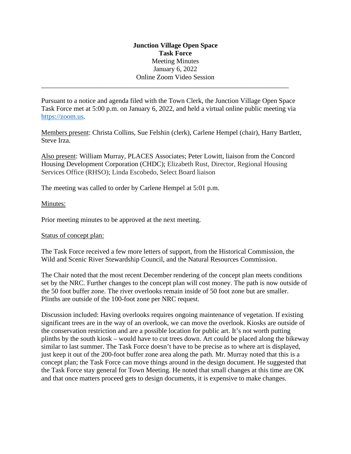# **Junction Village Open Space Task Force** Meeting Minutes January 6, 2022 Online Zoom Video Session

Pursuant to a notice and agenda filed with the Town Clerk, the Junction Village Open Space Task Force met at 5:00 p.m. on January 6, 2022, and held a virtual online public meeting via [https://zoom.us.](https://zoom.us/)

\_\_\_\_\_\_\_\_\_\_\_\_\_\_\_\_\_\_\_\_\_\_\_\_\_\_\_\_\_\_\_\_\_\_\_\_\_\_\_\_\_\_\_\_\_\_\_\_\_\_\_\_\_\_\_\_\_\_\_\_\_\_\_\_\_\_\_\_\_\_\_\_

Members present: Christa Collins, Sue Felshin (clerk), Carlene Hempel (chair), Harry Bartlett, Steve Irza.

Also present: William Murray, PLACES Associates; Peter Lowitt, liaison from the Concord Housing Development Corporation (CHDC); Elizabeth Rust, Director, Regional Housing Services Office (RHSO); Linda Escobedo, Select Board liaison

The meeting was called to order by Carlene Hempel at 5:01 p.m.

## Minutes:

Prior meeting minutes to be approved at the next meeting.

Status of concept plan:

The Task Force received a few more letters of support, from the Historical Commission, the Wild and Scenic River Stewardship Council, and the Natural Resources Commission.

The Chair noted that the most recent December rendering of the concept plan meets conditions set by the NRC. Further changes to the concept plan will cost money. The path is now outside of the 50 foot buffer zone. The river overlooks remain inside of 50 foot zone but are smaller. Plinths are outside of the 100-foot zone per NRC request.

Discussion included: Having overlooks requires ongoing maintenance of vegetation. If existing significant trees are in the way of an overlook, we can move the overlook. Kiosks are outside of the conservation restriction and are a possible location for public art. It's not worth putting plinths by the south kiosk – would have to cut trees down. Art could be placed along the bikeway similar to last summer. The Task Force doesn't have to be precise as to where art is displayed, just keep it out of the 200-foot buffer zone area along the path. Mr. Murray noted that this is a concept plan; the Task Force can move things around in the design document. He suggested that the Task Force stay general for Town Meeting. He noted that small changes at this time are OK and that once matters proceed gets to design documents, it is expensive to make changes.